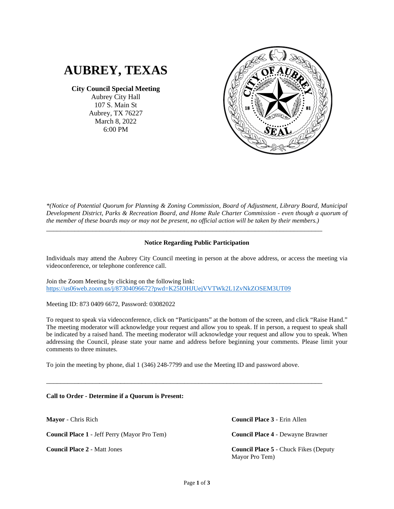

**City Council Special Meeting**

Aubrey City Hall 107 S. Main St Aubrey, TX 76227 March 8, 2022 6:00 PM



*\*(Notice of Potential Quorum for Planning & Zoning Commission, Board of Adjustment, Library Board, Municipal Development District, Parks & Recreation Board, and Home Rule Charter Commission - even though a quorum of the member of these boards may or may not be present, no official action will be taken by their members.)*

## **Notice Regarding Public Participation**

\_\_\_\_\_\_\_\_\_\_\_\_\_\_\_\_\_\_\_\_\_\_\_\_\_\_\_\_\_\_\_\_\_\_\_\_\_\_\_\_\_\_\_\_\_\_\_\_\_\_\_\_\_\_\_\_\_\_\_\_\_\_\_\_\_\_\_\_\_\_\_\_\_\_\_\_\_\_

Individuals may attend the Aubrey City Council meeting in person at the above address, or access the meeting via videoconference, or telephone conference call.

Join the Zoom Meeting by clicking on the following link: <https://us06web.zoom.us/j/87304096672?pwd=K25IOHJUejVVTWk2L1ZvNkZOSEM3UT09>

Meeting ID: 873 0409 6672, Password: 03082022

To request to speak via videoconference, click on "Participants" at the bottom of the screen, and click "Raise Hand." The meeting moderator will acknowledge your request and allow you to speak. If in person, a request to speak shall be indicated by a raised hand. The meeting moderator will acknowledge your request and allow you to speak. When addressing the Council, please state your name and address before beginning your comments. Please limit your comments to three minutes.

To join the meeting by phone, dial 1 (346) 248-7799 and use the Meeting ID and password above.

\_\_\_\_\_\_\_\_\_\_\_\_\_\_\_\_\_\_\_\_\_\_\_\_\_\_\_\_\_\_\_\_\_\_\_\_\_\_\_\_\_\_\_\_\_\_\_\_\_\_\_\_\_\_\_\_\_\_\_\_\_\_\_\_\_\_\_\_\_\_\_\_\_\_\_\_\_\_

**Call to Order - Determine if a Quorum is Present:**

**Mayor** - Chris Rich

**Council Place 1** - Jeff Perry (Mayor Pro Tem)

**Council Place 2** - Matt Jones

**Council Place 3** - Erin Allen

**Council Place 4** - Dewayne Brawner

**Council Place 5** - Chuck Fikes (Deputy Mayor Pro Tem)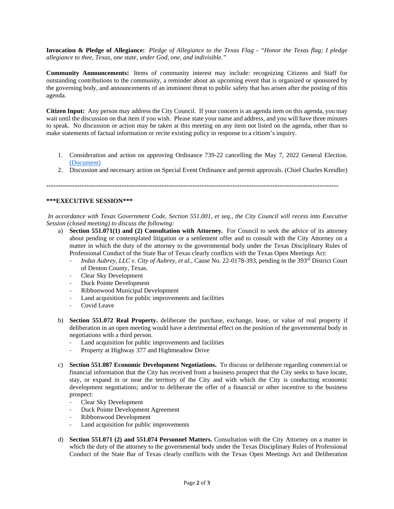**Invocation & Pledge of Allegiance:** *Pledge of Allegiance to the Texas Flag - "Honor the Texas flag; I pledge allegiance to thee, Texas, one state, under God, one, and indivisible."*

**Community Announcements:** Items of community interest may include: recognizing Citizens and Staff for outstanding contributions to the community, a reminder about an upcoming event that is organized or sponsored by the governing body, and announcements of an imminent threat to public safety that has arisen after the posting of this agenda.

**Citizen Input:** Any person may address the City Council. If your concern is an agenda item on this agenda, you may wait until the discussion on that item if you wish. Please state your name and address, and you will have three minutes to speak. No discussion or action may be taken at this meeting on any item not listed on the agenda, other than to make statements of factual information or recite existing policy in response to a citizen's inquiry.

- 1. Consideration and action on approving Ordinance 739-22 cancelling the May 7, 2022 General Election. [\(Document\)](https://www.dropbox.com/s/5i696swayp8251b/ORD%20739-22%20Canceling%20May%202022%20General%20Election%20%28EB%2003032022%29.pdf?dl=0)
- 2. Discussion and necessary action on Special Event Ordinance and permit approvals. (Chief Charles Kreidler)

**----------------------------------------------------------------------------------------------------------------------------**

## **\*\*\*EXECUTIVE SESSION\*\*\***

*In accordance with Texas Government Code, Section 551.001, et seq., the City Council will recess into Executive Session (closed meeting) to discuss the following:*

- a) **Section 551.071(1) and (2) Consultation with Attorney.** For Council to seek the advice of its attorney about pending or contemplated litigation or a settlement offer and to consult with the City Attorney on a matter in which the duty of the attorney to the governmental body under the Texas Disciplinary Rules of Professional Conduct of the State Bar of Texas clearly conflicts with the Texas Open Meetings Act:
	- *Indus Aubrey, LLC v. City of Aubrey, et al.,* Cause No. 22-0178-393, pending in the 393rd District Court of Denton County, Texas.
	- Clear Sky Development
	- Duck Pointe Development
	- Ribbonwood Municipal Development
	- Land acquisition for public improvements and facilities
	- Covid Leave
- b) **Section 551.072 Real Property.** deliberate the purchase, exchange, lease, or value of real property if deliberation in an open meeting would have a detrimental effect on the position of the governmental body in negotiations with a third person.
	- Land acquisition for public improvements and facilities
	- Property at Highway 377 and Highmeadow Drive
- c) **Section 551.087 Economic Development Negotiations.** To discuss or deliberate regarding commercial or financial information that the City has received from a business prospect that the City seeks to have locate, stay, or expand in or near the territory of the City and with which the City is conducting economic development negotiations; and/or to deliberate the offer of a financial or other incentive to the business prospect:
	- Clear Sky Development
	- Duck Pointe Development Agreement
	- Ribbonwood Development
	- Land acquisition for public improvements
- d) **Section 551.071 (2) and 551.074 Personnel Matters.** Consultation with the City Attorney on a matter in which the duty of the attorney to the governmental body under the Texas Disciplinary Rules of Professional Conduct of the State Bar of Texas clearly conflicts with the Texas Open Meetings Act and Deliberation